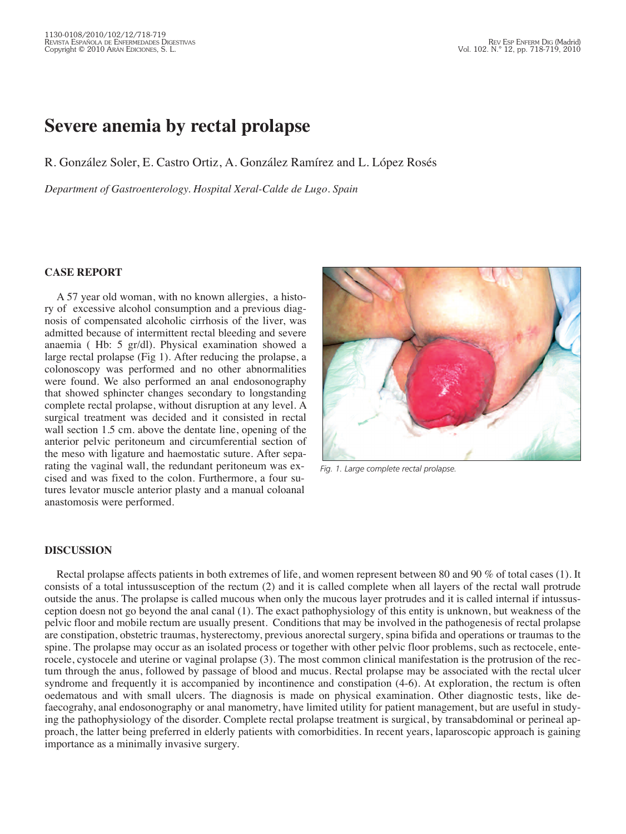## **Severe anemia by rectal prolapse**

R. González Soler, E. Castro Ortiz, A. González Ramírez and L. López Rosés

*Department of Gastroenterology. Hospital Xeral-Calde de Lugo. Spain*

## **CASE REPORT**

A 57 year old woman, with no known allergies, a history of excessive alcohol consumption and a previous diagnosis of compensated alcoholic cirrhosis of the liver, was admitted because of intermittent rectal bleeding and severe anaemia ( Hb: 5 gr/dl). Physical examination showed a large rectal prolapse (Fig 1). After reducing the prolapse, a colonoscopy was performed and no other abnormalities were found. We also performed an anal endosonography that showed sphincter changes secondary to longstanding complete rectal prolapse, without disruption at any level. A surgical treatment was decided and it consisted in rectal wall section 1.5 cm. above the dentate line, opening of the anterior pelvic peritoneum and circumferential section of the meso with ligature and haemostatic suture. After separating the vaginal wall, the redundant peritoneum was excised and was fixed to the colon. Furthermore, a four sutures levator muscle anterior plasty and a manual coloanal anastomosis were performed.



*Fig. 1. Large complete rectal prolapse.*

## **DISCUSSION**

Rectal prolapse affects patients in both extremes of life, and women represent between 80 and 90 % of total cases (1). It consists of a total intussusception of the rectum (2) and it is called complete when all layers of the rectal wall protrude outside the anus. The prolapse is called mucous when only the mucous layer protrudes and it is called internal if intussusception doesn not go beyond the anal canal (1). The exact pathophysiology of this entity is unknown, but weakness of the pelvic floor and mobile rectum are usually present. Conditions that may be involved in the pathogenesis of rectal prolapse are constipation, obstetric traumas, hysterectomy, previous anorectal surgery, spina bifida and operations or traumas to the spine. The prolapse may occur as an isolated process or together with other pelvic floor problems, such as rectocele, enterocele, cystocele and uterine or vaginal prolapse (3). The most common clinical manifestation is the protrusion of the rectum through the anus, followed by passage of blood and mucus. Rectal prolapse may be associated with the rectal ulcer syndrome and frequently it is accompanied by incontinence and constipation (4-6). At exploration, the rectum is often oedematous and with small ulcers. The diagnosis is made on physical examination. Other diagnostic tests, like defaecograhy, anal endosonography or anal manometry, have limited utility for patient management, but are useful in studying the pathophysiology of the disorder. Complete rectal prolapse treatment is surgical, by transabdominal or perineal approach, the latter being preferred in elderly patients with comorbidities. In recent years, laparoscopic approach is gaining importance as a minimally invasive surgery.